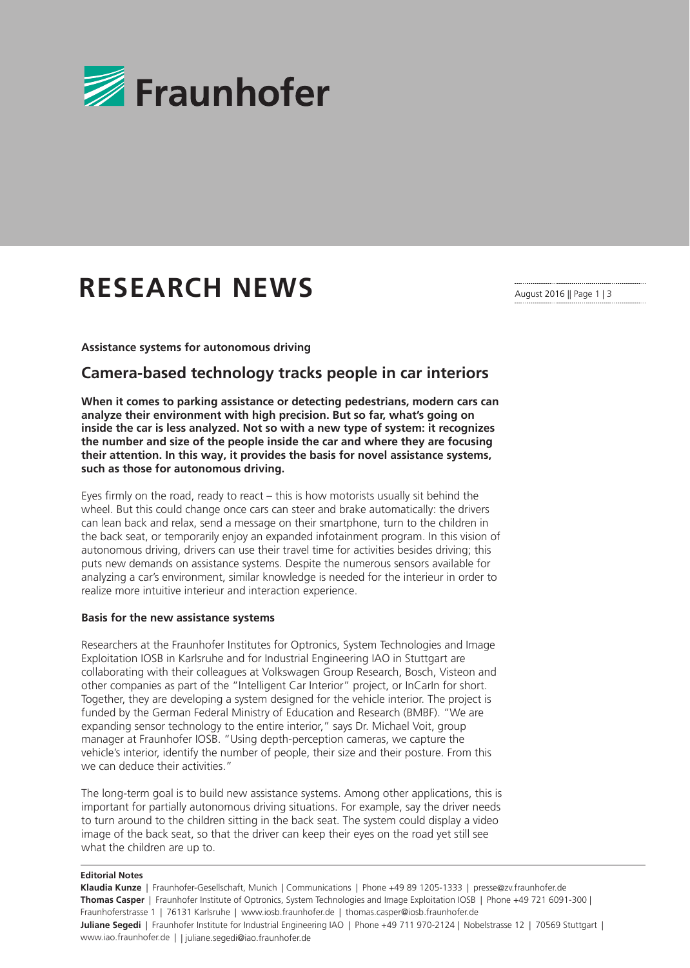

# **RESEARCH NEWS**

August 2016 || Page 1 | 3

#### **Assistance systems for autonomous driving**

## **Camera-based technology tracks people in car interiors**

**When it comes to parking assistance or detecting pedestrians, modern cars can analyze their environment with high precision. But so far, what's going on inside the car is less analyzed. Not so with a new type of system: it recognizes the number and size of the people inside the car and where they are focusing their attention. In this way, it provides the basis for novel assistance systems, such as those for autonomous driving.**

Eyes firmly on the road, ready to react – this is how motorists usually sit behind the wheel. But this could change once cars can steer and brake automatically: the drivers can lean back and relax, send a message on their smartphone, turn to the children in the back seat, or temporarily enjoy an expanded infotainment program. In this vision of autonomous driving, drivers can use their travel time for activities besides driving; this puts new demands on assistance systems. Despite the numerous sensors available for analyzing a car's environment, similar knowledge is needed for the interieur in order to realize more intuitive interieur and interaction experience.

#### **Basis for the new assistance systems**

Researchers at the Fraunhofer Institutes for Optronics, System Technologies and Image Exploitation IOSB in Karlsruhe and for Industrial Engineering IAO in Stuttgart are collaborating with their colleagues at Volkswagen Group Research, Bosch, Visteon and other companies as part of the "Intelligent Car Interior" project, or InCarIn for short. Together, they are developing a system designed for the vehicle interior. The project is funded by the German Federal Ministry of Education and Research (BMBF). "We are expanding sensor technology to the entire interior," says Dr. Michael Voit, group manager at Fraunhofer IOSB. "Using depth-perception cameras, we capture the vehicle's interior, identify the number of people, their size and their posture. From this we can deduce their activities."

The long-term goal is to build new assistance systems. Among other applications, this is important for partially autonomous driving situations. For example, say the driver needs to turn around to the children sitting in the back seat. The system could display a video image of the back seat, so that the driver can keep their eyes on the road yet still see what the children are up to.

#### **Editorial Notes**

**Klaudia Kunze** | Fraunhofer-Gesellschaft, Munich | Communications | Phone +49 89 1205-1333 | presse@zv.fraunhofer.de **Thomas Casper** | Fraunhofer Institute of Optronics, System Technologies and Image Exploitation IOSB | Phone +49 721 6091-300 | Fraunhoferstrasse 1 | 76131 Karlsruhe | www.iosb.fraunhofer.de | thomas.casper@iosb.fraunhofer.de **Juliane Segedi** | Fraunhofer Institute for Industrial Engineering IAO | Phone +49 711 970-2124 | Nobelstrasse 12 | 70569 Stuttgart | www.iao.fraunhofer.de | | juliane.segedi@iao.fraunhofer.de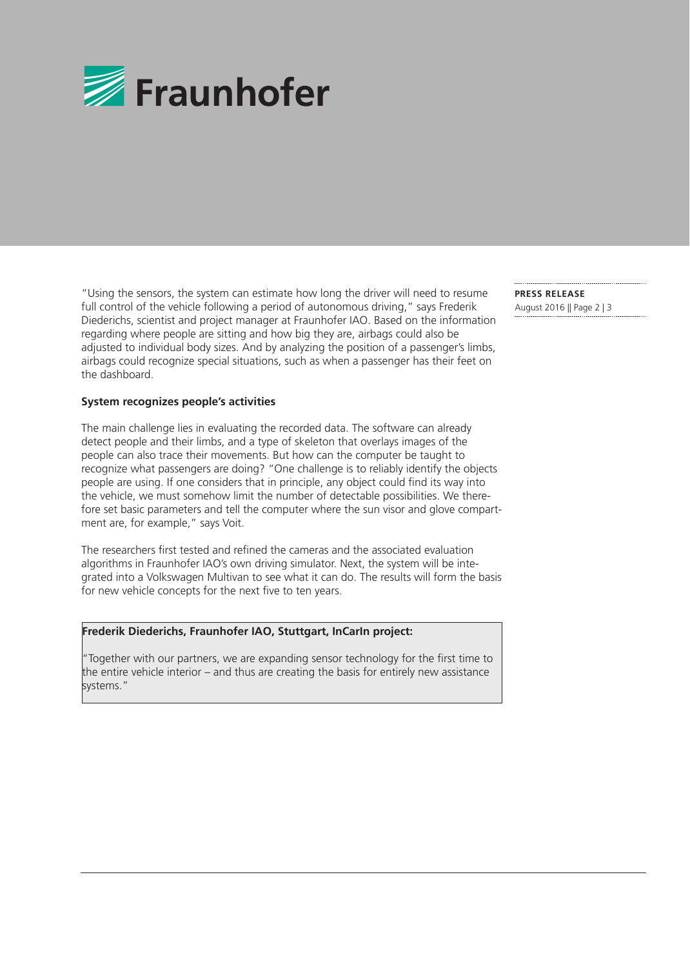

"Using the sensors, the system can estimate how long the driver will need to resume full control of the vehicle following a period of autonomous driving," says Frederik Diederichs, scientist and project manager at Fraunhofer IAO. Based on the information regarding where people are sitting and how big they are, airbags could also be adjusted to individual body sizes. And by analyzing the position of a passenger's limbs, airbags could recognize special situations, such as when a passenger has their feet on the dashboard.

### **System recognizes people's activities**

The main challenge lies in evaluating the recorded data. The software can already detect people and their limbs, and a type of skeleton that overlays images of the people can also trace their movements. But how can the computer be taught to recognize what passengers are doing? "One challenge is to reliably identify the objects people are using. If one considers that in principle, any object could find its way into the vehicle, we must somehow limit the number of detectable possibilities. We therefore set basic parameters and tell the computer where the sun visor and glove compartment are, for example," says Voit.

The researchers first tested and refined the cameras and the associated evaluation algorithms in Fraunhofer IAO's own driving simulator. Next, the system will be integrated into a Volkswagen Multivan to see what it can do. The results will form the basis for new vehicle concepts for the next five to ten years.

#### **Frederik Diederichs, Fraunhofer IAO, Stuttgart, InCarIn project:**

"Together with our partners, we are expanding sensor technology for the first time to the entire vehicle interior – and thus are creating the basis for entirely new assistance systems."

**PRESS RELEASE**  August 2016 || Page 2 | 3